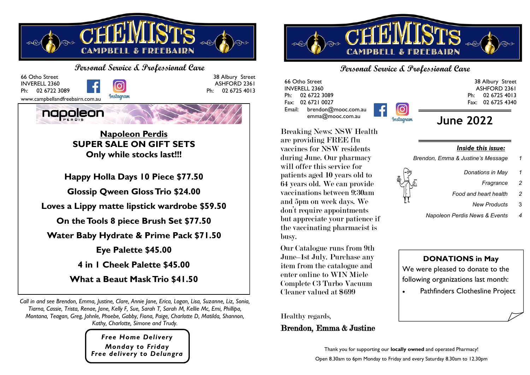

**Personal Service & Professional Care** 66 Otho Street 38 Albury Street INVERELL 2360 ASHFORD 2361 Ph: 02 6722 3089 Ph: 02 6725 4013 Instagram www.campbellandfreebairn.com.au



**Napoleon Perdis SUPER SALE ON GIFT SETS Only while stocks last!!!**

**Happy Holla Days 10 Piece \$77.50**

**Glossip Qween Gloss Trio \$24.00**

**Loves a Lippy matte lipstick wardrobe \$59.50**

**On the Tools 8 piece Brush Set \$77.50**

**Water Baby Hydrate & Prime Pack \$71.50**

**Eye Palette \$45.00**

**4 in 1 Cheek Palette \$45.00**

**What a Beaut Mask Trio \$41.50**

*Call in and see Brendon, Emma, Justine, Clare, Annie Jane, Erica, Logan, Lisa, Suzanne, Liz, Sonia, Tiarna, Cassie, Trista, Renae, Jane, Kelly F, Sue, Sarah T, Sarah M, Kellie Mc, Emi, Phillipa, Montana, Teagan, Greg, Johnle, Phoebe, Gabby, Fiona, Paige, Charlotte D, Matilda, Shannon, Kathy, Charlotte, Simone and Trudy.*

> *Free Home Delivery Monday to Friday Free delivery to Delungra*



## **Personal Service & Professional Care**

Instagram

66 Otho Street INVERELL 2360 Ph: 02 6722 3089 Fax: 02 6721 0027 Email: brendon@mooc.com.au emma@mooc.com.au

ASHFORD 2361 Ph: 02 6725 4013 Fax: 02 6725 4340 **June 2022**

Breaking News: NSW Health are providing FREE flu vaccines for NSW residents during June. Our pharmacy will offer this service for patients aged 10 years old to 64 years old. We can provide vaccinations between 9:30am and 5pm on week days. We don't require appointments but appreciate your patience if the vaccinating pharmacist is busy.

Our Catalogue runs from 9th June–1st July. Purchase any item from the catalogue and enter online to WIN Miele Complete C3 Turbo Vacuum Cleaner valued at \$699

Healthy regards,

## Brendon, Emma & Justine

*Inside this issue:*

*Brendon, Emma & Justine's Message 1*

- *Donations in May 1*
	- *Fragrance 2*

38 Albury Street

- *Food and heart health 2*
	- *New Products* 3
- *Napoleon Perdis News & Events 4*

**DONATIONS in May** We were pleased to donate to the following organizations last month:

Pathfinders Clothesline Project

Thank you for supporting our **locally owned** and operated Pharmacy! Open 8.30am to 6pm Monday to Friday and every Saturday 8.30am to 12.30pm